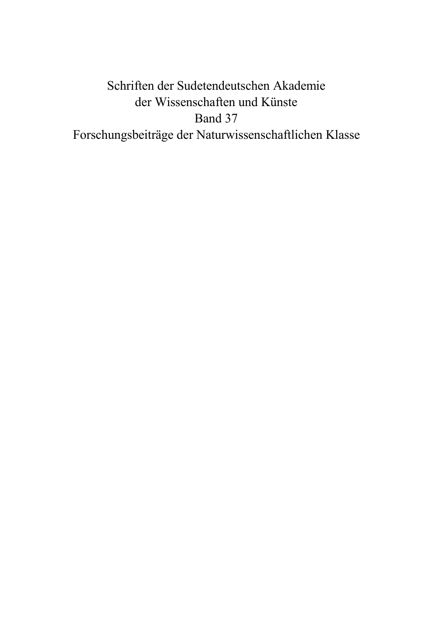# Schriften der Sudetendeutschen Akademie der Wissenschaften und Künste Band 37 Forschungsbeiträge der Naturwissenschaftlichen Klasse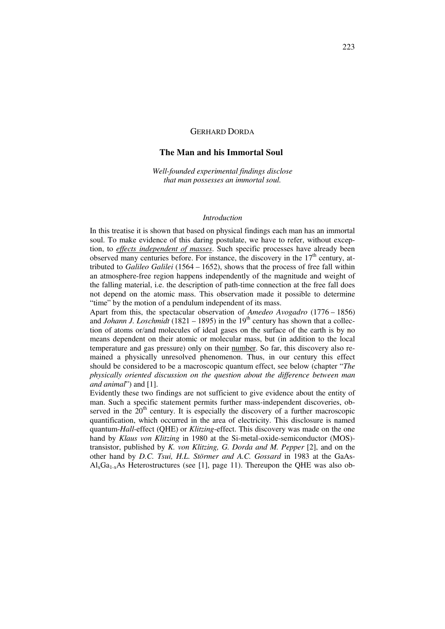## GERHARD DORDA

## **The Man and his Immortal Soul**

*Well-founded experimental findings disclose that man possesses an immortal soul.* 

#### *Introduction*

In this treatise it is shown that based on physical findings each man has an immortal soul. To make evidence of this daring postulate, we have to refer, without exception, to *effects independent of masses*. Such specific processes have already been observed many centuries before. For instance, the discovery in the  $17<sup>th</sup>$  century, attributed to *Galileo Galilei* (1564 – 1652), shows that the process of free fall within an atmosphere-free region happens independently of the magnitude and weight of the falling material, i.e. the description of path-time connection at the free fall does not depend on the atomic mass. This observation made it possible to determine "time" by the motion of a pendulum independent of its mass.

Apart from this, the spectacular observation of *Amedeo Avogadro* (1776 – 1856) and *Johann J. Loschmidt* (1821 – 1895) in the 19<sup>th</sup> century has shown that a collection of atoms or/and molecules of ideal gases on the surface of the earth is by no means dependent on their atomic or molecular mass, but (in addition to the local temperature and gas pressure) only on their number. So far, this discovery also remained a physically unresolved phenomenon. Thus, in our century this effect should be considered to be a macroscopic quantum effect, see below (chapter "*The physically oriented discussion on the question about the difference between man and animal*") and [1].

Evidently these two findings are not sufficient to give evidence about the entity of man. Such a specific statement permits further mass-independent discoveries, observed in the  $20$ <sup>th</sup> century. It is especially the discovery of a further macroscopic quantification, which occurred in the area of electricity. This disclosure is named quantum-*Hall*-effect (QHE) or *Klitzing*-effect. This discovery was made on the one hand by *Klaus von Klitzing* in 1980 at the Si-metal-oxide-semiconductor (MOS) transistor, published by *K. von Klitzing, G. Dorda and M. Pepper* [2], and on the other hand by *D.C. Tsui, H.L. Störmer and A.C. Gossard* in 1983 at the GaAs- $Al_xGa_{1-x}As$  Heterostructures (see [1], page 11). Thereupon the QHE was also ob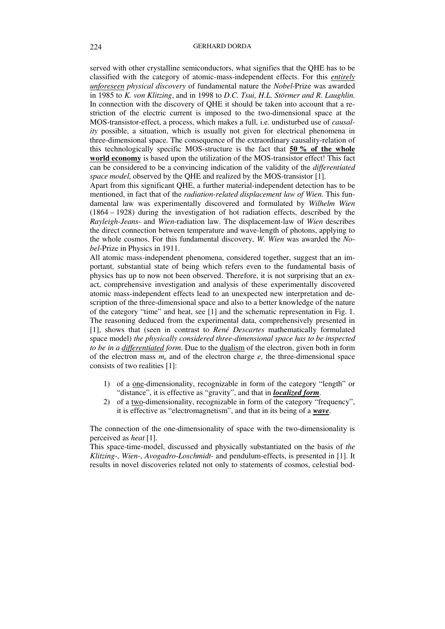served with other crystalline semiconductors, what signifies that the QHE has to be classified with the category of atomic-mass-independent effects. For this *entirely unforeseen physical discovery* of fundamental nature the *Nobel*-Prize was awarded in 1985 to *K. von Klitzing*, and in 1998 to *D.C. Tsui, H.L. Störmer and R. Laughlin*. In connection with the discovery of QHE it should be taken into account that a restriction of the electric current is imposed to the two-dimensional space at the MOS-transistor-effect, a process, which makes a full, i.e. undisturbed use of *causality* possible, a situation, which is usually not given for electrical phenomena in three-dimensional space. The consequence of the extraordinary causality-relation of this technologically specific MOS-structure is the fact that **50 % of the whole world economy** is based upon the utilization of the MOS-transistor effect! This fact can be considered to be a convincing indication of the validity of the *differentiated space model*, observed by the QHE and realized by the MOS-transistor [1].

Apart from this significant QHE, a further material-independent detection has to be mentioned, in fact that of the *radiation-related displacement law of Wien*. This fundamental law was experimentally discovered and formulated by *Wilhelm Wien* (1864 – 1928) during the investigation of hot radiation effects, described by the *Rayleigh-Jeans*- and *Wien*-radiation law. The displacement-law of *Wien* describes the direct connection between temperature and wave-length of photons, applying to the whole cosmos. For this fundamental discovery, *W. Wien* was awarded the *Nobel*-Prize in Physics in 1911.

All atomic mass-independent phenomena, considered together, suggest that an important, substantial state of being which refers even to the fundamental basis of physics has up to now not been observed. Therefore, it is not surprising that an exact, comprehensive investigation and analysis of these experimentally discovered atomic mass-independent effects lead to an unexpected new interpretation and description of the three-dimensional space and also to a better knowledge of the nature of the category "time" and heat, see [1] and the schematic representation in Fig. 1. The reasoning deduced from the experimental data, comprehensively presented in [1], shows that (seen in contrast to *René Descartes* mathematically formulated space model) *the physically considered three-dimensional space has to be inspected to be in a differentiated form*. Due to the dualism of the electron, given both in form of the electron mass  $m_e$  and of the electron charge  $e$ , the three-dimensional space consists of two realities [1]:

- 1) of a one-dimensionality, recognizable in form of the category "length" or "distance", it is effective as "gravity", and that in *localized form*.
- 2) of a two-dimensionality, recognizable in form of the category "frequency", it is effective as "electromagnetism", and that in its being of a *wave*.

The connection of the one-dimensionality of space with the two-dimensionality is perceived as *heat* [1].

This space-time-model, discussed and physically substantiated on the basis of *the Klitzing-*, *Wien-*, *Avogadro-Loschmidt*- and pendulum-effects, is presented in [1]. It results in novel discoveries related not only to statements of cosmos, celestial bod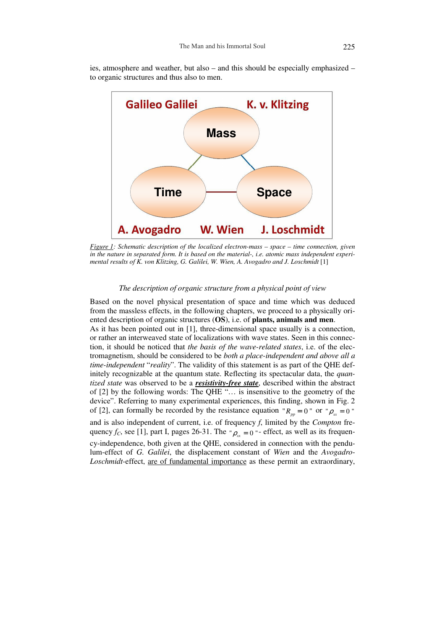ies, atmosphere and weather, but also – and this should be especially emphasized – to organic structures and thus also to men.



*Figure 1: Schematic description of the localized electron-mass – space – time connection, given in the nature in separated form. It is based on the material-, i.e. atomic mass independent experimental results of K. von Klitzing, G. Galilei, W. Wien, A. Avogadro and J. Loschmidt* [1]

## *The description of organic structure from a physical point of view*

Based on the novel physical presentation of space and time which was deduced from the massless effects, in the following chapters, we proceed to a physically oriented description of organic structures (**OS**), i.e. of **plants, animals and men**. As it has been pointed out in [1], three-dimensional space usually is a connection, or rather an interweaved state of localizations with wave states. Seen in this connection, it should be noticed that *the basis of the wave-related states*, i.e. of the electromagnetism, should be considered to be *both a place-independent and above all a time-independent* "*reality*". The validity of this statement is as part of the QHE definitely recognizable at the quantum state. Reflecting its spectacular data, the *quantized state* was observed to be a *resistivity-free state*, described within the abstract of [2] by the following words: The QHE "… is insensitive to the geometry of the device". Referring to many experimental experiences, this finding, shown in Fig. 2 of [2], can formally be recorded by the resistance equation " $R_{pp} = 0$ " or " $\rho_{xx} = 0$ " and is also independent of current, i.e. of frequency *f*, limited by the *Compton* frequency  $f_C$ , see [1], part I, pages 26-31. The " $\rho_{xx} = 0$ " - effect, as well as its frequency-independence, both given at the QHE, considered in connection with the pendulum-effect of *G. Galilei*, the displacement constant of *Wien* and the *Avogadro-Loschmidt-*effect, are of fundamental importance as these permit an extraordinary,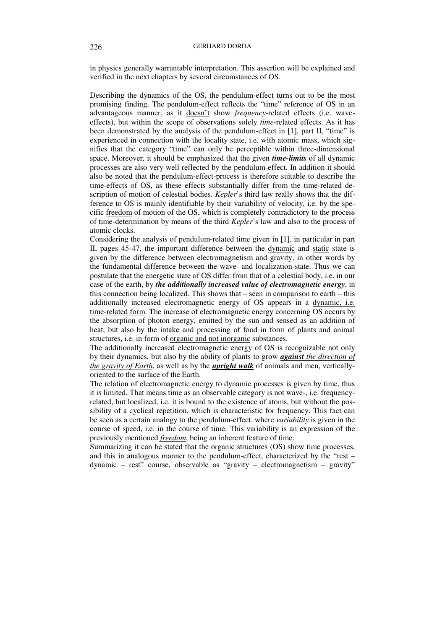in physics generally warrantable interpretation. This assertion will be explained and verified in the next chapters by several circumstances of OS.

Describing the dynamics of the OS, the pendulum-effect turns out to be the most promising finding. The pendulum-effect reflects the "time" reference of OS in an advantageous manner, as it doesn't show *frequency*-related effects (i.e. waveeffects), but within the scope of observations solely *time*-related effects. As it has been demonstrated by the analysis of the pendulum-effect in [1], part II, "time" is experienced in connection with the locality state, i.e. with atomic mass, which signifies that the category "time" can only be perceptible within three-dimensional space. Moreover, it should be emphasized that the given *time-limits* of all dynamic processes are also very well reflected by the pendulum-effect. In addition it should also be noted that the pendulum-effect-process is therefore suitable to describe the time-effects of OS, as these effects substantially differ from the time-related description of motion of celestial bodies. *Kepler*'s third law really shows that the difference to OS is mainly identifiable by their variability of velocity, i.e. by the specific freedom of motion of the OS, which is completely contradictory to the process of time-determination by means of the third *Kepler*'s law and also to the process of atomic clocks.

Considering the analysis of pendulum-related time given in [1], in particular in part II, pages 45-47, the important difference between the dynamic and static state is given by the difference between electromagnetism and gravity, in other words by the fundamental difference between the wave- and localization-state. Thus we can postulate that the energetic state of OS differ from that of a celestial body, i.e. in our case of the earth, by *the additionally increased value of electromagnetic energy*, in this connection being localized. This shows that – seen in comparison to earth – this additionally increased electromagnetic energy of OS appears in a dynamic, i.e. time-related form. The increase of electromagnetic energy concerning OS occurs by the absorption of photon energy, emitted by the sun and sensed as an addition of heat, but also by the intake and processing of food in form of plants and animal structures, i.e. in form of organic and not inorganic substances.

The additionally increased electromagnetic energy of OS is recognizable not only by their dynamics, but also by the ability of plants to grow *against the direction of the gravity of Earth*, as well as by the *upright walk* of animals and men, verticallyoriented to the surface of the Earth.

The relation of electromagnetic energy to dynamic processes is given by time, thus it is limited. That means time as an observable category is not wave-, i.e. frequencyrelated, but localized, i.e. it is bound to the existence of atoms, but without the possibility of a cyclical repetition, which is characteristic for frequency. This fact can be seen as a certain analogy to the pendulum-effect, where *variability* is given in the course of speed, i.e. in the course of time. This variability is an expression of the previously mentioned *freedom*, being an inherent feature of time.

Summarizing it can be stated that the organic structures (OS) show time processes, and this in analogous manner to the pendulum-effect, characterized by the "rest – dynamic – rest" course, observable as "gravity – electromagnetism – gravity"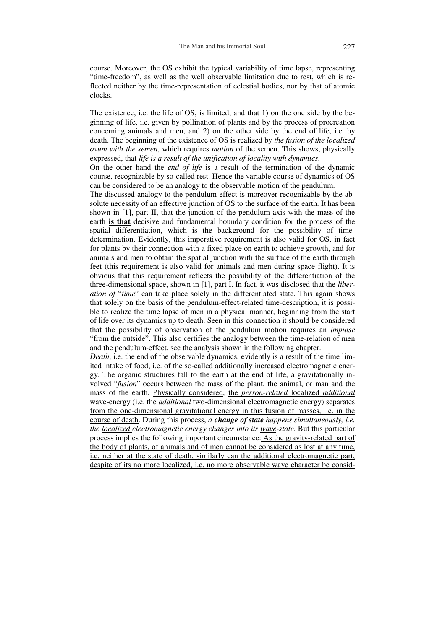course. Moreover, the OS exhibit the typical variability of time lapse, representing "time-freedom", as well as the well observable limitation due to rest, which is reflected neither by the time-representation of celestial bodies, nor by that of atomic clocks.

The existence, i.e. the life of OS, is limited, and that 1) on the one side by the beginning of life, i.e. given by pollination of plants and by the process of procreation concerning animals and men, and 2) on the other side by the end of life, i.e. by death. The beginning of the existence of OS is realized by *the fusion of the localized ovum with the semen*, which requires *motion* of the semen. This shows, physically expressed, that *life is a result of the unification of locality with dynamics*.

On the other hand the *end of life* is a result of the termination of the dynamic course, recognizable by so-called rest. Hence the variable course of dynamics of OS can be considered to be an analogy to the observable motion of the pendulum.

The discussed analogy to the pendulum-effect is moreover recognizable by the absolute necessity of an effective junction of OS to the surface of the earth. It has been shown in [1], part II, that the junction of the pendulum axis with the mass of the earth **is that** decisive and fundamental boundary condition for the process of the spatial differentiation, which is the background for the possibility of timedetermination. Evidently, this imperative requirement is also valid for OS, in fact for plants by their connection with a fixed place on earth to achieve growth, and for animals and men to obtain the spatial junction with the surface of the earth through feet (this requirement is also valid for animals and men during space flight). It is obvious that this requirement reflects the possibility of the differentiation of the three-dimensional space, shown in [1], part I. In fact, it was disclosed that the *liberation of* "*time*" can take place solely in the differentiated state. This again shows that solely on the basis of the pendulum-effect-related time-description, it is possible to realize the time lapse of men in a physical manner, beginning from the start of life over its dynamics up to death. Seen in this connection it should be considered that the possibility of observation of the pendulum motion requires an *impulse* "from the outside". This also certifies the analogy between the time-relation of men and the pendulum-effect, see the analysis shown in the following chapter.

*Death*, i.e. the end of the observable dynamics, evidently is a result of the time limited intake of food, i.e. of the so-called additionally increased electromagnetic energy. The organic structures fall to the earth at the end of life, a gravitationally involved "*fusion*" occurs between the mass of the plant, the animal, or man and the mass of the earth. Physically considered, the *person-related* localized *additional* wave-energy (i.e. the *additional* two-dimensional electromagnetic energy) separates from the one-dimensional gravitational energy in this fusion of masses, i.e. in the course of death. During this process, *a change of state happens simultaneously, i.e. the localized electromagnetic energy changes into its wave-state*. But this particular process implies the following important circumstance: As the gravity-related part of the body of plants, of animals and of men cannot be considered as lost at any time, i.e. neither at the state of death, similarly can the additional electromagnetic part, despite of its no more localized, i.e. no more observable wave character be consid-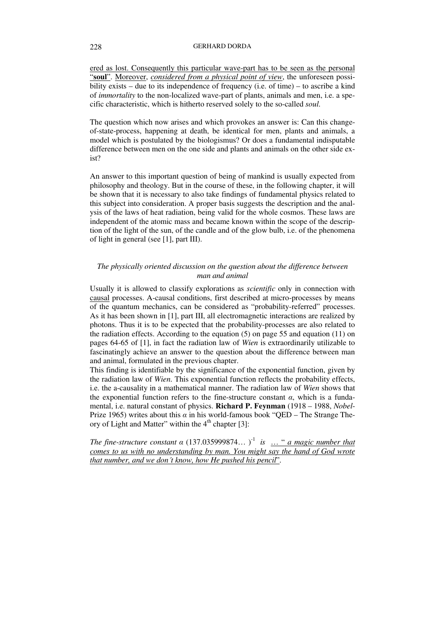## 228 GERHARD DORDA

ered as lost. Consequently this particular wave-part has to be seen as the personal "**soul**". Moreover, *considered from a physical point of view*, the unforeseen possibility exists – due to its independence of frequency (i.e. of time) – to ascribe a kind of *immortality* to the non-localized wave-part of plants, animals and men, i.e. a specific characteristic, which is hitherto reserved solely to the so-called *soul*.

The question which now arises and which provokes an answer is: Can this changeof-state-process, happening at death, be identical for men, plants and animals, a model which is postulated by the biologismus? Or does a fundamental indisputable difference between men on the one side and plants and animals on the other side exist?

An answer to this important question of being of mankind is usually expected from philosophy and theology. But in the course of these, in the following chapter, it will be shown that it is necessary to also take findings of fundamental physics related to this subject into consideration. A proper basis suggests the description and the analysis of the laws of heat radiation, being valid for the whole cosmos. These laws are independent of the atomic mass and became known within the scope of the description of the light of the sun, of the candle and of the glow bulb, i.e. of the phenomena of light in general (see [1], part III).

## *The physically oriented discussion on the question about the difference between man and animal*

Usually it is allowed to classify explorations as *scientific* only in connection with causal processes. A-causal conditions, first described at micro-processes by means of the quantum mechanics, can be considered as "probability-referred" processes. As it has been shown in [1], part III, all electromagnetic interactions are realized by photons. Thus it is to be expected that the probability-processes are also related to the radiation effects. According to the equation (5) on page 55 and equation (11) on pages 64-65 of [1], in fact the radiation law of *Wien* is extraordinarily utilizable to fascinatingly achieve an answer to the question about the difference between man and animal, formulated in the previous chapter.

This finding is identifiable by the significance of the exponential function, given by the radiation law of *Wien*. This exponential function reflects the probability effects, i.e. the a-causality in a mathematical manner. The radiation law of *Wien* shows that the exponential function refers to the fine-structure constant  $\alpha$ , which is a fundamental, i.e. natural constant of physics. **Richard P. Feynman** (1918 – 1988, *Nobel*-Prize 1965) writes about this  $\alpha$  in his world-famous book "QED – The Strange Theory of Light and Matter" within the  $4<sup>th</sup>$  chapter [3]:

*The fine-structure constant*  $\alpha$  (137.035999874...)<sup>-1</sup> *is* ... " *a magic number that comes to us with no understanding by man. You might say the hand of God wrote that number, and we don´t know, how He pushed his pencil*"*.*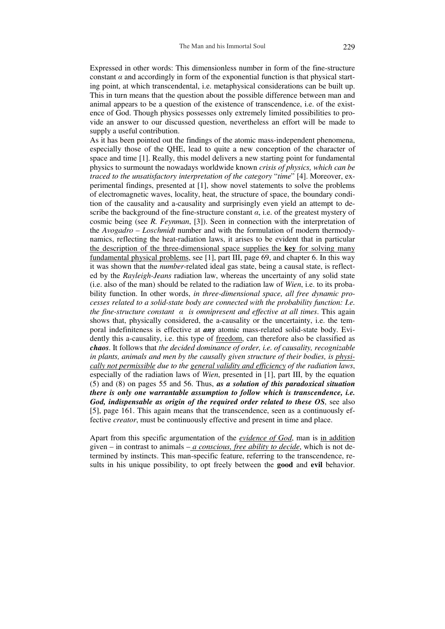Expressed in other words: This dimensionless number in form of the fine-structure constant  $\alpha$  and accordingly in form of the exponential function is that physical starting point, at which transcendental, i.e. metaphysical considerations can be built up. This in turn means that the question about the possible difference between man and animal appears to be a question of the existence of transcendence, i.e. of the existence of God. Though physics possesses only extremely limited possibilities to provide an answer to our discussed question, nevertheless an effort will be made to supply a useful contribution.

As it has been pointed out the findings of the atomic mass-independent phenomena, especially those of the QHE, lead to quite a new conception of the character of space and time [1]. Really, this model delivers a new starting point for fundamental physics to surmount the nowadays worldwide known *crisis of physics, which can be traced to the unsatisfactory interpretation of the category* "*time*" [4]. Moreover, experimental findings, presented at [1], show novel statements to solve the problems of electromagnetic waves, locality, heat, the structure of space, the boundary condition of the causality and a-causality and surprisingly even yield an attempt to describe the background of the fine-structure constant  $\alpha$ , i.e. of the greatest mystery of cosmic being (see *R. Feynman*, [3]). Seen in connection with the interpretation of the *Avogadro – Loschmidt* number and with the formulation of modern thermodynamics, reflecting the heat-radiation laws, it arises to be evident that in particular the description of the three-dimensional space supplies the **key** for solving many fundamental physical problems, see [1], part III, page 69, and chapter 6. In this way it was shown that the *number*-related ideal gas state, being a causal state, is reflected by the *Rayleigh-Jeans* radiation law, whereas the uncertainty of any solid state (i.e. also of the man) should be related to the radiation law of *Wien*, i.e. to its probability function. In other words, *in three-dimensional space, all free dynamic processes related to a solid-state body are connected with the probability function: I.e. the fine-structure constant*  $\alpha$  *is omnipresent and effective at all times. This again* shows that, physically considered, the a-causality or the uncertainty, i.e. the temporal indefiniteness is effective at *any* atomic mass-related solid-state body. Evidently this a-causality, i.e. this type of freedom, can therefore also be classified as *chaos*. It follows that *the decided dominance of order, i.e. of causality, recognizable in plants, animals and men by the causally given structure of their bodies, is physically not permissible due to the general validity and efficiency of the radiation laws*, especially of the radiation laws of *Wien*, presented in [1], part III, by the equation (5) and (8) on pages 55 and 56. Thus, *as a solution of this paradoxical situation there is only one warrantable assumption to follow which is transcendence, i.e. God, indispensable as origin of the required order related to these OS*, see also [5], page 161. This again means that the transcendence, seen as a continuously effective *creator*, must be continuously effective and present in time and place.

Apart from this specific argumentation of the *evidence of God*, man is in addition given – in contrast to animals – *a conscious, free ability to decide*, which is not determined by instincts. This man-specific feature, referring to the transcendence, results in his unique possibility, to opt freely between the **good** and **evil** behavior.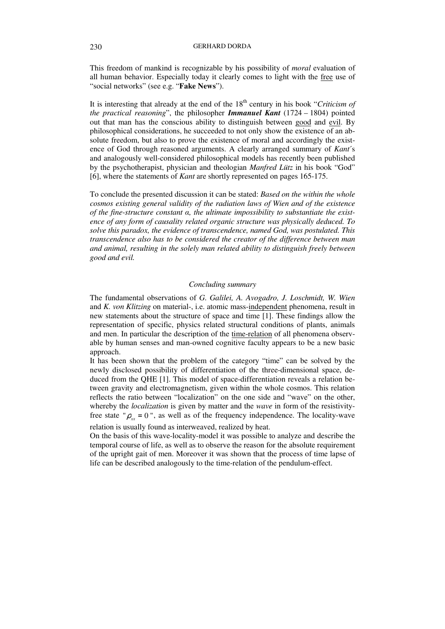This freedom of mankind is recognizable by his possibility of *moral* evaluation of all human behavior. Especially today it clearly comes to light with the free use of "social networks" (see e.g. "**Fake News**").

It is interesting that already at the end of the  $18<sup>th</sup>$  century in his book "*Criticism of the practical reasoning*", the philosopher *Immanuel Kant* (1724 – 1804) pointed out that man has the conscious ability to distinguish between good and evil. By philosophical considerations, he succeeded to not only show the existence of an absolute freedom, but also to prove the existence of moral and accordingly the existence of God through reasoned arguments. A clearly arranged summary of *Kant*´s and analogously well-considered philosophical models has recently been published by the psychotherapist, physician and theologian *Manfred Lütz* in his book "God" [6], where the statements of *Kant* are shortly represented on pages 165-175.

To conclude the presented discussion it can be stated: *Based on the within the whole cosmos existing general validity of the radiation laws of Wien and of the existence of the fine-structure constant , the ultimate impossibility to substantiate the existence of any form of causality related organic structure was physically deduced. To solve this paradox, the evidence of transcendence, named God, was postulated. This transcendence also has to be considered the creator of the difference between man and animal, resulting in the solely man related ability to distinguish freely between good and evil.*

## *Concluding summary*

The fundamental observations of *G. Galilei, A. Avogadro, J. Loschmidt, W. Wien*  and *K. von Klitzing* on material-, i.e. atomic mass-independent phenomena, result in new statements about the structure of space and time [1]. These findings allow the representation of specific, physics related structural conditions of plants, animals and men. In particular the description of the time-relation of all phenomena observable by human senses and man-owned cognitive faculty appears to be a new basic approach.

It has been shown that the problem of the category "time" can be solved by the newly disclosed possibility of differentiation of the three-dimensional space, deduced from the QHE [1]. This model of space-differentiation reveals a relation between gravity and electromagnetism, given within the whole cosmos. This relation reflects the ratio between "localization" on the one side and "wave" on the other, whereby the *localization* is given by matter and the *wave* in form of the resistivityfree state " $\rho_{xx} = 0$ ", as well as of the frequency independence. The locality-wave

relation is usually found as interweaved, realized by heat.

On the basis of this wave-locality-model it was possible to analyze and describe the temporal course of life, as well as to observe the reason for the absolute requirement of the upright gait of men. Moreover it was shown that the process of time lapse of life can be described analogously to the time-relation of the pendulum-effect.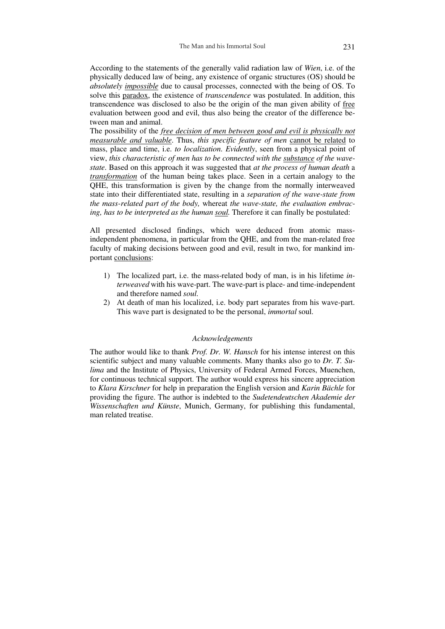According to the statements of the generally valid radiation law of *Wien*, i.e. of the physically deduced law of being, any existence of organic structures (OS) should be *absolutely impossible* due to causal processes, connected with the being of OS. To solve this paradox, the existence of *transcendence* was postulated. In addition, this transcendence was disclosed to also be the origin of the man given ability of free evaluation between good and evil, thus also being the creator of the difference between man and animal.

The possibility of the *free decision of men between good and evil is physically not measurable and valuable*. Thus, *this specific feature of men* cannot be related to mass, place and time, i.e. *to localization*. *Evidently*, seen from a physical point of view, *this characteristic of men has to be connected with the substance of the wavestate*. Based on this approach it was suggested that *at the process of human death* a *transformation* of the human being takes place. Seen in a certain analogy to the QHE, this transformation is given by the change from the normally interweaved state into their differentiated state, resulting in a *separation of the wave-state from the mass-related part of the body,* whereat *the wave-state, the evaluation embracing, has to be interpreted as the human soul.* Therefore it can finally be postulated:

All presented disclosed findings, which were deduced from atomic massindependent phenomena, in particular from the QHE, and from the man-related free faculty of making decisions between good and evil, result in two, for mankind important conclusions:

- 1) The localized part, i.e. the mass-related body of man, is in his lifetime *interweaved* with his wave-part. The wave-part is place- and time-independent and therefore named *soul*.
- 2) At death of man his localized, i.e. body part separates from his wave-part. This wave part is designated to be the personal, *immortal* soul.

## *Acknowledgements*

The author would like to thank *Prof. Dr. W. Hansch* for his intense interest on this scientific subject and many valuable comments. Many thanks also go to *Dr. T. Sulima* and the Institute of Physics, University of Federal Armed Forces, Muenchen, for continuous technical support. The author would express his sincere appreciation to *Klara Kirschner* for help in preparation the English version and *Karin Bächle* for providing the figure. The author is indebted to the *Sudetendeutschen Akademie der Wissenschaften und Künste*, Munich, Germany, for publishing this fundamental, man related treatise.